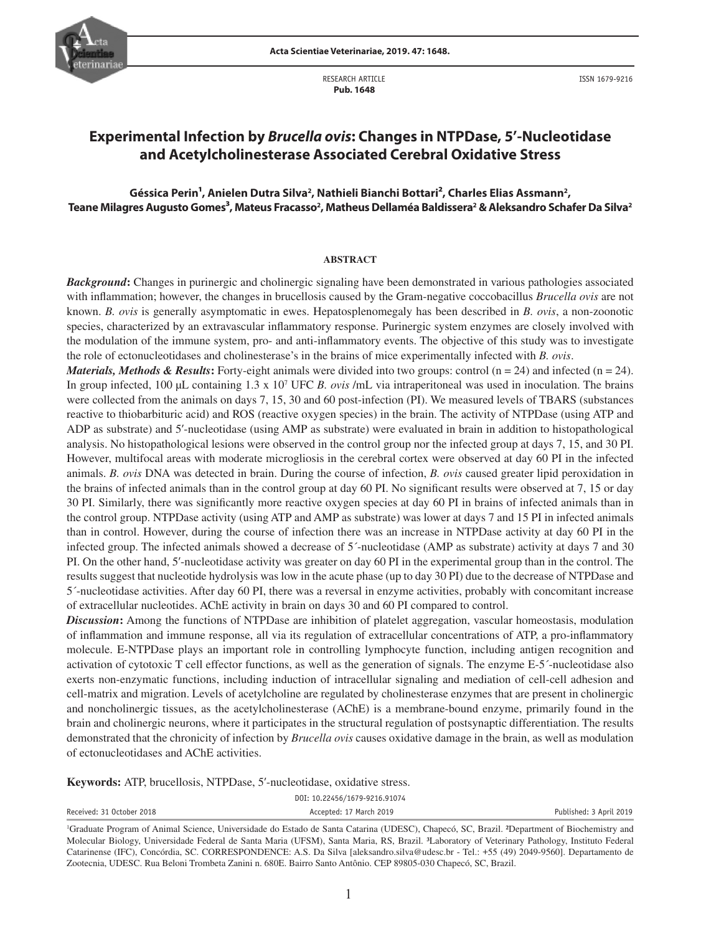

RESEARCH ARTICLE  **Pub. 1648**



ISSN 1679-9216

# **Experimental Infection by** *Brucella ovis***: Changes in NTPDase, 5'-Nucleotidase and Acetylcholinesterase Associated Cerebral Oxidative Stress**

# Géssica Perin<sup>1</sup>, Anielen Dutra Silva<sup>2</sup>, Nathieli Bianchi Bottari<sup>2</sup>, Charles Elias Assmann<sup>2</sup>, Teane Milagres Augusto Gomes<sup>3</sup>, Mateus Fracasso<sup>2</sup>, Matheus Dellaméa Baldissera<sup>2</sup> & Aleksandro Schafer Da Silva<sup>2</sup>

#### **ABSTRACT**

*Background***:** Changes in purinergic and cholinergic signaling have been demonstrated in various pathologies associated with inflammation; however, the changes in brucellosis caused by the Gram-negative coccobacillus *Brucella ovis* are not known. *B. ovis* is generally asymptomatic in ewes. Hepatosplenomegaly has been described in *B. ovis*, a non-zoonotic species, characterized by an extravascular inflammatory response. Purinergic system enzymes are closely involved with the modulation of the immune system, pro- and anti-inflammatory events. The objective of this study was to investigate the role of ectonucleotidases and cholinesterase's in the brains of mice experimentally infected with *B. ovis*.

*Materials, Methods & Results*: Forty-eight animals were divided into two groups: control  $(n = 24)$  and infected  $(n = 24)$ . In group infected, 100 µL containing 1.3 x 10<sup>7</sup> UFC *B. ovis* /mL via intraperitoneal was used in inoculation. The brains were collected from the animals on days 7, 15, 30 and 60 post-infection (PI). We measured levels of TBARS (substances reactive to thiobarbituric acid) and ROS (reactive oxygen species) in the brain. The activity of NTPDase (using ATP and ADP as substrate) and 5'-nucleotidase (using AMP as substrate) were evaluated in brain in addition to histopathological analysis. No histopathological lesions were observed in the control group nor the infected group at days 7, 15, and 30 PI. However, multifocal areas with moderate microgliosis in the cerebral cortex were observed at day 60 PI in the infected animals. *B. ovis* DNA was detected in brain. During the course of infection, *B. ovis* caused greater lipid peroxidation in the brains of infected animals than in the control group at day 60 PI. No significant results were observed at 7, 15 or day 30 PI. Similarly, there was significantly more reactive oxygen species at day 60 PI in brains of infected animals than in the control group. NTPDase activity (using ATP and AMP as substrate) was lower at days 7 and 15 PI in infected animals than in control. However, during the course of infection there was an increase in NTPDase activity at day 60 PI in the infected group. The infected animals showed a decrease of 5´-nucleotidase (AMP as substrate) activity at days 7 and 30 PI. On the other hand, 5'-nucleotidase activity was greater on day 60 PI in the experimental group than in the control. The results suggest that nucleotide hydrolysis was low in the acute phase (up to day 30 PI) due to the decrease of NTPDase and 5´-nucleotidase activities. After day 60 PI, there was a reversal in enzyme activities, probably with concomitant increase of extracellular nucleotides. AChE activity in brain on days 30 and 60 PI compared to control.

*Discussion***:** Among the functions of NTPDase are inhibition of platelet aggregation, vascular homeostasis, modulation of inflammation and immune response, all via its regulation of extracellular concentrations of ATP, a pro-inflammatory molecule. E-NTPDase plays an important role in controlling lymphocyte function, including antigen recognition and activation of cytotoxic T cell effector functions, as well as the generation of signals. The enzyme E-5´-nucleotidase also exerts non-enzymatic functions, including induction of intracellular signaling and mediation of cell-cell adhesion and cell-matrix and migration. Levels of acetylcholine are regulated by cholinesterase enzymes that are present in cholinergic and noncholinergic tissues, as the acetylcholinesterase (AChE) is a membrane-bound enzyme, primarily found in the brain and cholinergic neurons, where it participates in the structural regulation of postsynaptic differentiation. The results demonstrated that the chronicity of infection by *Brucella ovis* causes oxidative damage in the brain, as well as modulation of ectonucleotidases and AChE activities.

**Keywords:** ATP, brucellosis, NTPDase, 5'-nucleotidase, oxidative stress.

|                           | DOI: 10.22456/1679-9216.91074 |                         |
|---------------------------|-------------------------------|-------------------------|
| Received: 31 October 2018 | Accepted: 17 March 2019       | Published: 3 April 2019 |

<sup>1</sup> Graduate Program of Animal Science, Universidade do Estado de Santa Catarina (UDESC), Chapecó, SC, Brazil. ²Department of Biochemistry and Molecular Biology, Universidade Federal de Santa Maria (UFSM), Santa Maria, RS, Brazil. ³Laboratory of Veterinary Pathology, Instituto Federal Catarinense (IFC), Concórdia, SC. CORRESPONDENCE: A.S. Da Silva [aleksandro.silva@udesc.br - Tel.: +55 (49) 2049-9560]. Departamento de Zootecnia, UDESC. Rua Beloni Trombeta Zanini n. 680E. Bairro Santo Antônio. CEP 89805-030 Chapecó, SC, Brazil.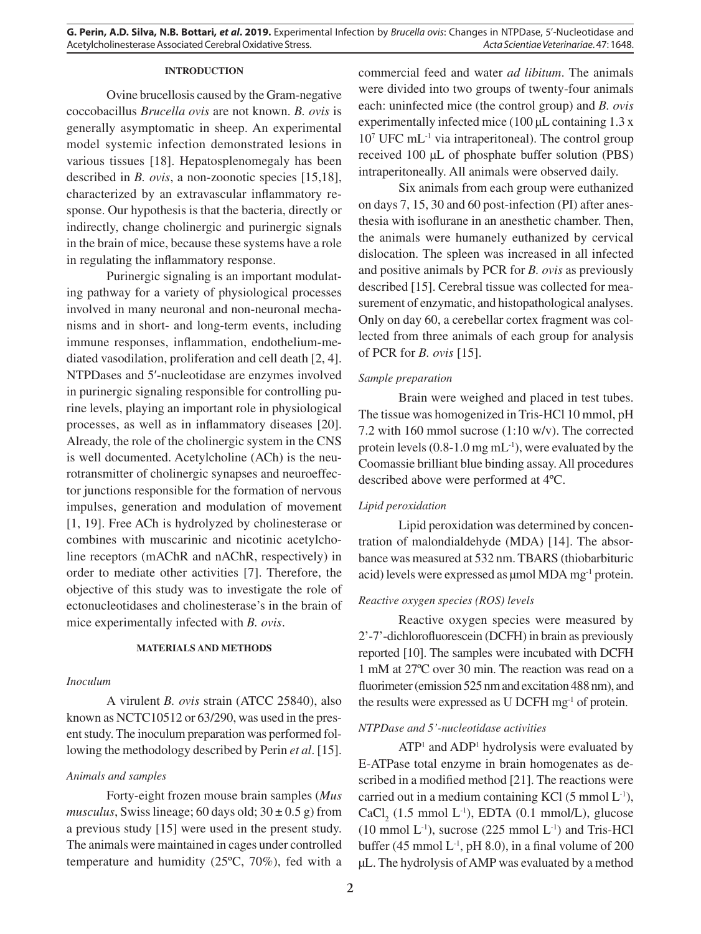**G. Perin, A.D. Silva, N.B. Bottari,** *et al***. 2019.** Experimental Infection by *Brucella ovis*: Changes in NTPDase, 5'-Nucleotidase and Acetylcholinesterase Associated Cerebral Oxidative Stress. *Acta Scientiae Veterinariae*. 47: 1648.

#### **INTRODUCTION**

Ovine brucellosis caused by the Gram-negative coccobacillus *Brucella ovis* are not known. *B. ovis* is generally asymptomatic in sheep. An experimental model systemic infection demonstrated lesions in various tissues [18]. Hepatosplenomegaly has been described in *B. ovis*, a non-zoonotic species [15,18], characterized by an extravascular inflammatory response. Our hypothesis is that the bacteria, directly or indirectly, change cholinergic and purinergic signals in the brain of mice, because these systems have a role in regulating the inflammatory response.

Purinergic signaling is an important modulating pathway for a variety of physiological processes involved in many neuronal and non-neuronal mechanisms and in short- and long-term events, including immune responses, inflammation, endothelium-mediated vasodilation, proliferation and cell death [2, 4]. NTPDases and 5'-nucleotidase are enzymes involved in purinergic signaling responsible for controlling purine levels, playing an important role in physiological processes, as well as in inflammatory diseases [20]. Already, the role of the cholinergic system in the CNS is well documented. Acetylcholine (ACh) is the neurotransmitter of cholinergic synapses and neuroeffector junctions responsible for the formation of nervous impulses, generation and modulation of movement [1, 19]. Free ACh is hydrolyzed by cholinesterase or combines with muscarinic and nicotinic acetylcholine receptors (mAChR and nAChR, respectively) in order to mediate other activities [7]. Therefore, the objective of this study was to investigate the role of ectonucleotidases and cholinesterase's in the brain of mice experimentally infected with *B. ovis*.

## **MATERIALS AND METHODS**

#### *Inoculum*

A virulent *B. ovis* strain (ATCC 25840), also known as NCTC10512 or 63/290, was used in the present study. The inoculum preparation was performed following the methodology described by Perin *et al*. [15].

## *Animals and samples*

Forty-eight frozen mouse brain samples (*Mus musculus*, Swiss lineage; 60 days old;  $30 \pm 0.5$  g) from a previous study [15] were used in the present study. The animals were maintained in cages under controlled temperature and humidity (25ºC, 70%), fed with a commercial feed and water *ad libitum*. The animals were divided into two groups of twenty-four animals each: uninfected mice (the control group) and *B. ovis*  experimentally infected mice (100 µL containing 1.3 x 10<sup>7</sup> UFC mL<sup>-1</sup> via intraperitoneal). The control group received 100 µL of phosphate buffer solution (PBS) intraperitoneally. All animals were observed daily.

Six animals from each group were euthanized on days 7, 15, 30 and 60 post-infection (PI) after anesthesia with isoflurane in an anesthetic chamber. Then, the animals were humanely euthanized by cervical dislocation. The spleen was increased in all infected and positive animals by PCR for *B. ovis* as previously described [15]. Cerebral tissue was collected for measurement of enzymatic, and histopathological analyses. Only on day 60, a cerebellar cortex fragment was collected from three animals of each group for analysis of PCR for *B. ovis* [15].

#### *Sample preparation*

Brain were weighed and placed in test tubes. The tissue was homogenized in Tris-HCl 10 mmol, pH 7.2 with 160 mmol sucrose (1:10 w/v). The corrected protein levels (0.8-1.0 mg mL-1), were evaluated by the Coomassie brilliant blue binding assay. All procedures described above were performed at 4ºC.

#### *Lipid peroxidation*

Lipid peroxidation was determined by concentration of malondialdehyde (MDA) [14]. The absorbance was measured at 532 nm. TBARS (thiobarbituric acid) levels were expressed as  $\mu$ mol MDA mg<sup>-1</sup> protein.

#### *Reactive oxygen species (ROS) levels*

Reactive oxygen species were measured by 2'-7'-dichlorofluorescein (DCFH) in brain as previously reported [10]. The samples were incubated with DCFH 1 mM at 27ºC over 30 min. The reaction was read on a fluorimeter (emission 525 nm and excitation 488 nm), and the results were expressed as U DCFH mg-1 of protein.

### *NTPDase and 5'-nucleotidase activities*

ATP<sup>1</sup> and ADP<sup>1</sup> hydrolysis were evaluated by E-ATPase total enzyme in brain homogenates as described in a modified method [21]. The reactions were carried out in a medium containing KCl  $(5 \text{ mmol } L^{-1})$ ,  $CaCl<sub>2</sub>$  (1.5 mmol L<sup>-1</sup>), EDTA (0.1 mmol/L), glucose  $(10 \text{ mmol L}^{-1})$ , sucrose  $(225 \text{ mmol L}^{-1})$  and Tris-HCl buffer (45 mmol  $L^{-1}$ , pH 8.0), in a final volume of 200 µL. The hydrolysis of AMP was evaluated by a method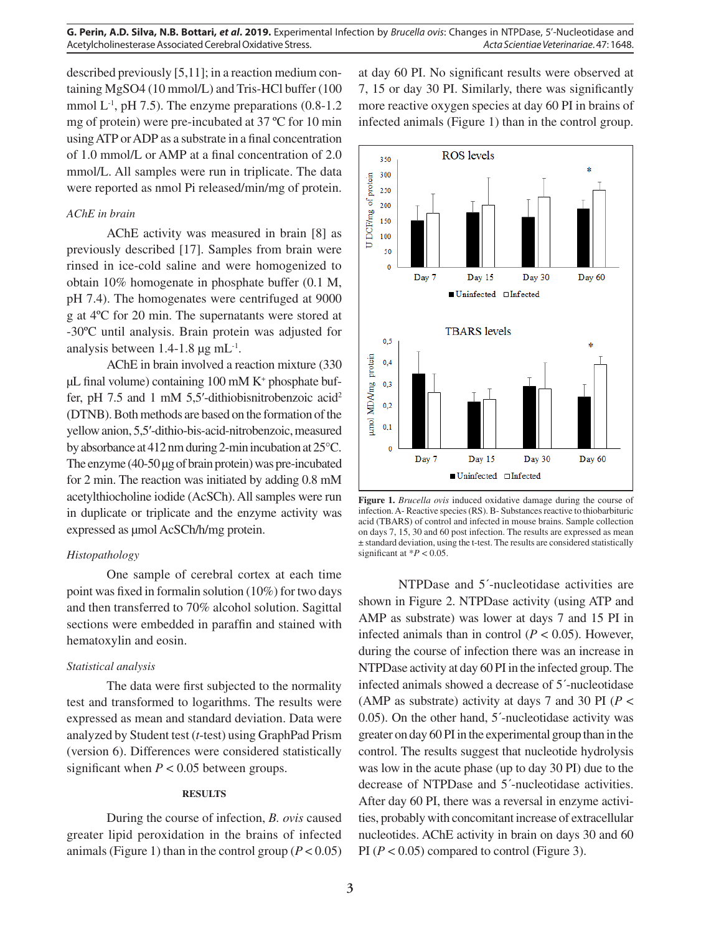described previously [5,11]; in a reaction medium containing MgSO4 (10 mmol/L) and Tris-HCl buffer (100 mmol  $L^{-1}$ , pH 7.5). The enzyme preparations (0.8-1.2) mg of protein) were pre-incubated at 37 ºC for 10 min using ATP or ADP as a substrate in a final concentration of 1.0 mmol/L or AMP at a final concentration of 2.0 mmol/L. All samples were run in triplicate. The data were reported as nmol Pi released/min/mg of protein.

## *AChE in brain*

AChE activity was measured in brain [8] as previously described [17]. Samples from brain were rinsed in ice-cold saline and were homogenized to obtain 10% homogenate in phosphate buffer (0.1 M, pH 7.4). The homogenates were centrifuged at 9000 g at 4ºC for 20 min. The supernatants were stored at -30ºC until analysis. Brain protein was adjusted for analysis between  $1.4$ -1.8  $\mu$ g mL<sup>-1</sup>.

AChE in brain involved a reaction mixture (330 µL final volume) containing 100 mM K+ phosphate buffer, pH 7.5 and 1 mM 5,5'-dithiobisnitrobenzoic acid<sup>2</sup> (DTNB). Both methods are based on the formation of the yellow anion, 5,5′-dithio-bis-acid-nitrobenzoic, measured by absorbance at 412 nm during 2-min incubation at 25°C. The enzyme (40-50 µg of brain protein) was pre-incubated for 2 min. The reaction was initiated by adding 0.8 mM acetylthiocholine iodide (AcSCh). All samples were run in duplicate or triplicate and the enzyme activity was expressed as µmol AcSCh/h/mg protein.

## *Histopathology*

One sample of cerebral cortex at each time point was fixed in formalin solution (10%) for two days and then transferred to 70% alcohol solution. Sagittal sections were embedded in paraffin and stained with hematoxylin and eosin.

### *Statistical analysis*

The data were first subjected to the normality test and transformed to logarithms. The results were expressed as mean and standard deviation. Data were analyzed by Student test (*t*-test) using GraphPad Prism (version 6). Differences were considered statistically significant when  $P < 0.05$  between groups.

## **RESULTS**

During the course of infection, *B. ovis* caused greater lipid peroxidation in the brains of infected animals (Figure 1) than in the control group  $(P < 0.05)$ 

at day 60 PI. No significant results were observed at 7, 15 or day 30 PI. Similarly, there was significantly more reactive oxygen species at day 60 PI in brains of infected animals (Figure 1) than in the control group.



**Figure 1.** *Brucella ovis* induced oxidative damage during the course of infection. A- Reactive species (RS). B- Substances reactive to thiobarbituric acid (TBARS) of control and infected in mouse brains. Sample collection on days 7, 15, 30 and 60 post infection. The results are expressed as mean ± standard deviation, using the t-test. The results are considered statistically significant at  $*P < 0.05$ .

NTPDase and 5´-nucleotidase activities are shown in Figure 2. NTPDase activity (using ATP and AMP as substrate) was lower at days 7 and 15 PI in infected animals than in control  $(P < 0.05)$ . However, during the course of infection there was an increase in NTPDase activity at day 60 PI in the infected group. The infected animals showed a decrease of 5´-nucleotidase (AMP as substrate) activity at days 7 and 30 PI (*P* < 0.05). On the other hand, 5´-nucleotidase activity was greater on day 60 PI in the experimental group than in the control. The results suggest that nucleotide hydrolysis was low in the acute phase (up to day 30 PI) due to the decrease of NTPDase and 5´-nucleotidase activities. After day 60 PI, there was a reversal in enzyme activities, probably with concomitant increase of extracellular nucleotides. AChE activity in brain on days 30 and 60 PI  $(P < 0.05)$  compared to control (Figure 3).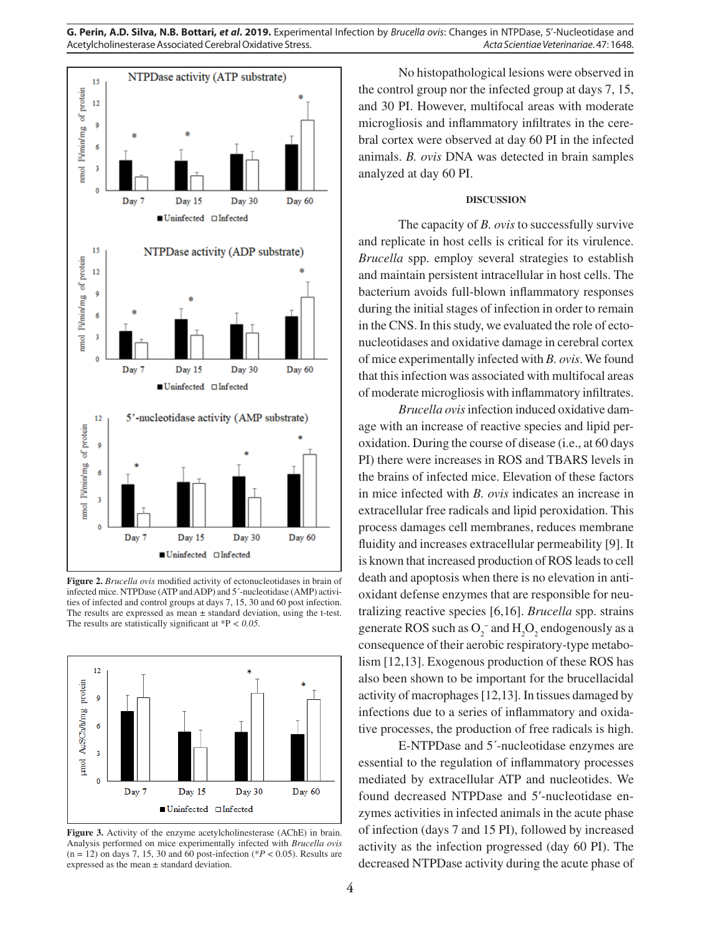

**Figure 2.** *Brucella ovis* modified activity of ectonucleotidases in brain of infected mice. NTPDase (ATP and ADP) and 5´-nucleotidase (AMP) activities of infected and control groups at days 7, 15, 30 and 60 post infection. The results are expressed as mean  $\pm$  standard deviation, using the t-test. The results are statistically significant at \*P *< 0.05.*



**Figure 3.** Activity of the enzyme acetylcholinesterase (AChE) in brain. Analysis performed on mice experimentally infected with *Brucella ovis*   $(n = 12)$  on days 7, 15, 30 and 60 post-infection (\* $P < 0.05$ ). Results are expressed as the mean ± standard deviation.

No histopathological lesions were observed in the control group nor the infected group at days 7, 15, and 30 PI. However, multifocal areas with moderate microgliosis and inflammatory infiltrates in the cerebral cortex were observed at day 60 PI in the infected animals. *B. ovis* DNA was detected in brain samples analyzed at day 60 PI.

## **DISCUSSION**

The capacity of *B. ovis* to successfully survive and replicate in host cells is critical for its virulence. *Brucella* spp. employ several strategies to establish and maintain persistent intracellular in host cells. The bacterium avoids full-blown inflammatory responses during the initial stages of infection in order to remain in the CNS. In this study, we evaluated the role of ectonucleotidases and oxidative damage in cerebral cortex of mice experimentally infected with *B. ovis*. We found that this infection was associated with multifocal areas of moderate microgliosis with inflammatory infiltrates.

*Brucella ovis* infection induced oxidative damage with an increase of reactive species and lipid peroxidation. During the course of disease (i.e., at 60 days PI) there were increases in ROS and TBARS levels in the brains of infected mice. Elevation of these factors in mice infected with *B. ovis* indicates an increase in extracellular free radicals and lipid peroxidation. This process damages cell membranes, reduces membrane fluidity and increases extracellular permeability [9]. It is known that increased production of ROS leads to cell death and apoptosis when there is no elevation in antioxidant defense enzymes that are responsible for neutralizing reactive species [6,16]. *Brucella* spp. strains generate ROS such as  $O_2^-$  and  $H_2O_2$  endogenously as a consequence of their aerobic respiratory-type metabolism [12,13]. Exogenous production of these ROS has also been shown to be important for the brucellacidal activity of macrophages [12,13]. In tissues damaged by infections due to a series of inflammatory and oxidative processes, the production of free radicals is high.

E-NTPDase and 5´-nucleotidase enzymes are essential to the regulation of inflammatory processes mediated by extracellular ATP and nucleotides. We found decreased NTPDase and 5'-nucleotidase enzymes activities in infected animals in the acute phase of infection (days 7 and 15 PI), followed by increased activity as the infection progressed (day 60 PI). The decreased NTPDase activity during the acute phase of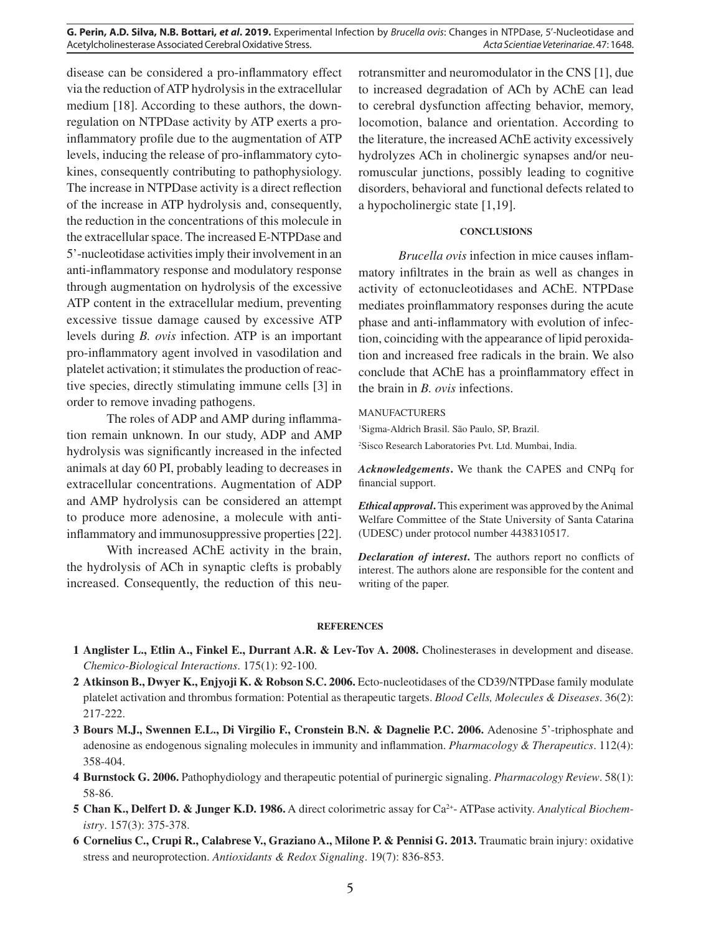**G. Perin, A.D. Silva, N.B. Bottari,** *et al***. 2019.** Experimental Infection by *Brucella ovis*: Changes in NTPDase, 5'-Nucleotidase and Acetylcholinesterase Associated Cerebral Oxidative Stress. *Acta Scientiae Veterinariae*. 47: 1648.

disease can be considered a pro-inflammatory effect via the reduction of ATP hydrolysis in the extracellular medium [18]. According to these authors, the downregulation on NTPDase activity by ATP exerts a proinflammatory profile due to the augmentation of ATP levels, inducing the release of pro-inflammatory cytokines, consequently contributing to pathophysiology. The increase in NTPDase activity is a direct reflection of the increase in ATP hydrolysis and, consequently, the reduction in the concentrations of this molecule in the extracellular space. The increased E-NTPDase and 5'-nucleotidase activities imply their involvement in an anti-inflammatory response and modulatory response through augmentation on hydrolysis of the excessive ATP content in the extracellular medium, preventing excessive tissue damage caused by excessive ATP levels during *B. ovis* infection. ATP is an important pro-inflammatory agent involved in vasodilation and platelet activation; it stimulates the production of reactive species, directly stimulating immune cells [3] in order to remove invading pathogens.

The roles of ADP and AMP during inflammation remain unknown. In our study, ADP and AMP hydrolysis was significantly increased in the infected animals at day 60 PI, probably leading to decreases in extracellular concentrations. Augmentation of ADP and AMP hydrolysis can be considered an attempt to produce more adenosine, a molecule with antiinflammatory and immunosuppressive properties [22].

With increased AChE activity in the brain, the hydrolysis of ACh in synaptic clefts is probably increased. Consequently, the reduction of this neurotransmitter and neuromodulator in the CNS [1], due to increased degradation of ACh by AChE can lead to cerebral dysfunction affecting behavior, memory, locomotion, balance and orientation. According to the literature, the increased AChE activity excessively hydrolyzes ACh in cholinergic synapses and/or neuromuscular junctions, possibly leading to cognitive disorders, behavioral and functional defects related to a hypocholinergic state [1,19].

## **CONCLUSIONS**

*Brucella ovis* infection in mice causes inflammatory infiltrates in the brain as well as changes in activity of ectonucleotidases and AChE. NTPDase mediates proinflammatory responses during the acute phase and anti-inflammatory with evolution of infection, coinciding with the appearance of lipid peroxidation and increased free radicals in the brain. We also conclude that AChE has a proinflammatory effect in the brain in *B. ovis* infections.

#### MANUFACTURERS

1 Sigma-Aldrich Brasil. São Paulo, SP, Brazil. 2 Sisco Research Laboratories Pvt. Ltd. Mumbai, India.

*Acknowledgements***.** We thank the CAPES and CNPq for financial support.

*Ethical approval***.** This experiment was approved by the Animal Welfare Committee of the State University of Santa Catarina (UDESC) under protocol number 4438310517.

*Declaration of interest***.** The authors report no conflicts of interest. The authors alone are responsible for the content and writing of the paper.

#### **REFERENCES**

- **1 Anglister L., Etlin A., Finkel E., Durrant A.R. & Lev-Tov A. 2008.** Cholinesterases in development and disease. *Chemico-Biological Interactions*. 175(1): 92-100.
- **2 Atkinson B., Dwyer K., Enjyoji K. & Robson S.C. 2006.** Ecto-nucleotidases of the CD39/NTPDase family modulate platelet activation and thrombus formation: Potential as therapeutic targets. *Blood Cells, Molecules & Diseases*. 36(2): 217-222.
- **3 Bours M.J., Swennen E.L., Di Virgilio F., Cronstein B.N. & Dagnelie P.C. 2006.** Adenosine 5'-triphosphate and adenosine as endogenous signaling molecules in immunity and inflammation. *Pharmacology & Therapeutics*. 112(4): 358-404.
- **4 Burnstock G. 2006.** Pathophydiology and therapeutic potential of purinergic signaling. *Pharmacology Review*. 58(1): 58-86.
- **5 Chan K., Delfert D. & Junger K.D. 1986.** A direct colorimetric assay for Ca2+- ATPase activity. *Analytical Biochemistry*. 157(3): 375-378.
- **6 Cornelius C., Crupi R., Calabrese V., Graziano A., Milone P. & Pennisi G. 2013.** Traumatic brain injury: oxidative stress and neuroprotection. *Antioxidants & Redox Signaling*. 19(7): 836-853.